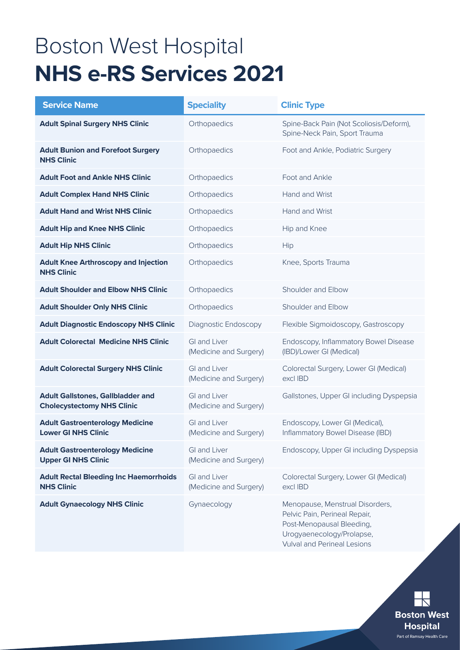# Boston West Hospital **NHS e-RS Services 2021**

| <b>Service Name</b>                                                           | <b>Speciality</b>                             | <b>Clinic Type</b>                                                                                                                                               |
|-------------------------------------------------------------------------------|-----------------------------------------------|------------------------------------------------------------------------------------------------------------------------------------------------------------------|
| <b>Adult Spinal Surgery NHS Clinic</b>                                        | Orthopaedics                                  | Spine-Back Pain (Not Scoliosis/Deform),<br>Spine-Neck Pain, Sport Trauma                                                                                         |
| <b>Adult Bunion and Forefoot Surgery</b><br><b>NHS Clinic</b>                 | Orthopaedics                                  | Foot and Ankle, Podiatric Surgery                                                                                                                                |
| <b>Adult Foot and Ankle NHS Clinic</b>                                        | Orthopaedics                                  | Foot and Ankle                                                                                                                                                   |
| <b>Adult Complex Hand NHS Clinic</b>                                          | Orthopaedics                                  | Hand and Wrist                                                                                                                                                   |
| <b>Adult Hand and Wrist NHS Clinic</b>                                        | Orthopaedics                                  | Hand and Wrist                                                                                                                                                   |
| <b>Adult Hip and Knee NHS Clinic</b>                                          | Orthopaedics                                  | Hip and Knee                                                                                                                                                     |
| <b>Adult Hip NHS Clinic</b>                                                   | Orthopaedics                                  | Hip                                                                                                                                                              |
| <b>Adult Knee Arthroscopy and Injection</b><br><b>NHS Clinic</b>              | Orthopaedics                                  | Knee, Sports Trauma                                                                                                                                              |
| <b>Adult Shoulder and Elbow NHS Clinic</b>                                    | Orthopaedics                                  | Shoulder and Elbow                                                                                                                                               |
| <b>Adult Shoulder Only NHS Clinic</b>                                         | Orthopaedics                                  | Shoulder and Elbow                                                                                                                                               |
| <b>Adult Diagnostic Endoscopy NHS Clinic</b>                                  | Diagnostic Endoscopy                          | Flexible Sigmoidoscopy, Gastroscopy                                                                                                                              |
| <b>Adult Colorectal Medicine NHS Clinic</b>                                   | <b>GI and Liver</b><br>(Medicine and Surgery) | Endoscopy, Inflammatory Bowel Disease<br>(IBD)/Lower GI (Medical)                                                                                                |
| <b>Adult Colorectal Surgery NHS Clinic</b>                                    | <b>GI and Liver</b><br>(Medicine and Surgery) | Colorectal Surgery, Lower GI (Medical)<br>excl IBD                                                                                                               |
| <b>Adult Gallstones, Gallbladder and</b><br><b>Cholecystectomy NHS Clinic</b> | <b>GI and Liver</b><br>(Medicine and Surgery) | Gallstones, Upper GI including Dyspepsia                                                                                                                         |
| <b>Adult Gastroenterology Medicine</b><br><b>Lower GI NHS Clinic</b>          | <b>GI and Liver</b><br>(Medicine and Surgery) | Endoscopy, Lower GI (Medical),<br>Inflammatory Bowel Disease (IBD)                                                                                               |
| <b>Adult Gastroenterology Medicine</b><br><b>Upper GI NHS Clinic</b>          | GI and Liver<br>(Medicine and Surgery)        | Endoscopy, Upper GI including Dyspepsia                                                                                                                          |
| <b>Adult Rectal Bleeding Inc Haemorrhoids</b><br><b>NHS Clinic</b>            | GI and Liver<br>(Medicine and Surgery)        | Colorectal Surgery, Lower GI (Medical)<br>excl IBD                                                                                                               |
| <b>Adult Gynaecology NHS Clinic</b>                                           | Gynaecology                                   | Menopause, Menstrual Disorders,<br>Pelvic Pain, Perineal Repair,<br>Post-Menopausal Bleeding,<br>Urogyaenecology/Prolapse,<br><b>Vulval and Perineal Lesions</b> |